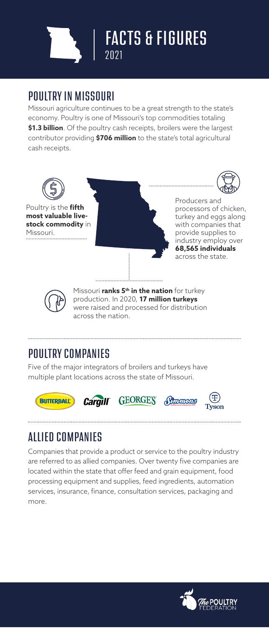

## POULTRY IN MISSOURI

Missouri agriculture continues to be a great strength to the state's economy. Poultry is one of Missouri's top commodities totaling **\$1.3 billion**. Of the poultry cash receipts, broilers were the largest contributor providing **\$706 million** to the state's total agricultural cash receipts.



# POULTRY COMPANIES

Five of the major integrators of broilers and turkeys have multiple plant locations across the state of Missouri.









# ALLIED COMPANIES

Companies that provide a product or service to the poultry industry are referred to as allied companies. Over twenty five companies are located within the state that offer feed and grain equipment, food processing equipment and supplies, feed ingredients, automation services, insurance, finance, consultation services, packaging and more.